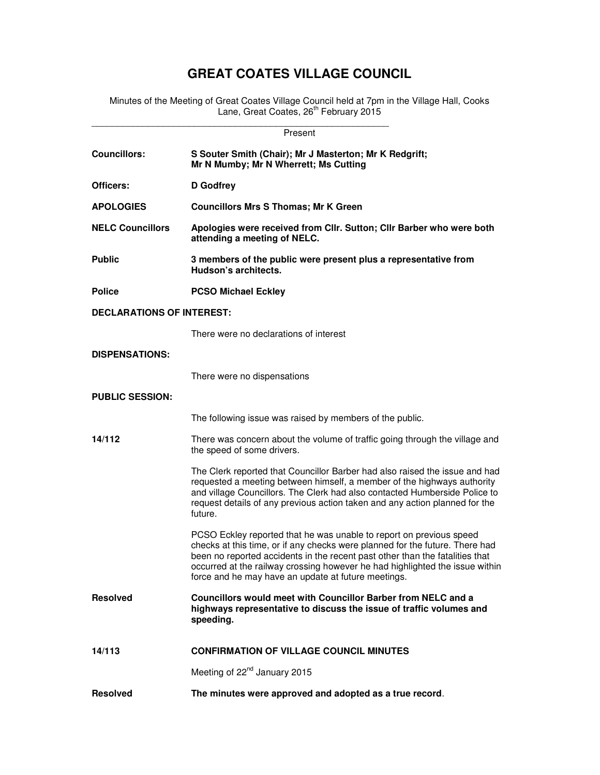# **GREAT COATES VILLAGE COUNCIL**

Minutes of the Meeting of Great Coates Village Council held at 7pm in the Village Hall, Cooks Lane, Great Coates, 26<sup>th</sup> February 2015

| Present                          |                                                                                                                                                                                                                                                                                                                                                                            |  |  |  |  |  |
|----------------------------------|----------------------------------------------------------------------------------------------------------------------------------------------------------------------------------------------------------------------------------------------------------------------------------------------------------------------------------------------------------------------------|--|--|--|--|--|
| <b>Councillors:</b>              | S Souter Smith (Chair); Mr J Masterton; Mr K Redgrift;<br>Mr N Mumby; Mr N Wherrett; Ms Cutting                                                                                                                                                                                                                                                                            |  |  |  |  |  |
| Officers:                        | D Godfrey                                                                                                                                                                                                                                                                                                                                                                  |  |  |  |  |  |
| <b>APOLOGIES</b>                 | <b>Councillors Mrs S Thomas; Mr K Green</b>                                                                                                                                                                                                                                                                                                                                |  |  |  |  |  |
| <b>NELC Councillors</b>          | Apologies were received from Cllr. Sutton; Cllr Barber who were both<br>attending a meeting of NELC.                                                                                                                                                                                                                                                                       |  |  |  |  |  |
| <b>Public</b>                    | 3 members of the public were present plus a representative from<br>Hudson's architects.                                                                                                                                                                                                                                                                                    |  |  |  |  |  |
| <b>Police</b>                    | <b>PCSO Michael Eckley</b>                                                                                                                                                                                                                                                                                                                                                 |  |  |  |  |  |
| <b>DECLARATIONS OF INTEREST:</b> |                                                                                                                                                                                                                                                                                                                                                                            |  |  |  |  |  |
|                                  | There were no declarations of interest                                                                                                                                                                                                                                                                                                                                     |  |  |  |  |  |
| <b>DISPENSATIONS:</b>            |                                                                                                                                                                                                                                                                                                                                                                            |  |  |  |  |  |
|                                  | There were no dispensations                                                                                                                                                                                                                                                                                                                                                |  |  |  |  |  |
| <b>PUBLIC SESSION:</b>           |                                                                                                                                                                                                                                                                                                                                                                            |  |  |  |  |  |
|                                  | The following issue was raised by members of the public.                                                                                                                                                                                                                                                                                                                   |  |  |  |  |  |
| 14/112                           | There was concern about the volume of traffic going through the village and<br>the speed of some drivers.                                                                                                                                                                                                                                                                  |  |  |  |  |  |
|                                  | The Clerk reported that Councillor Barber had also raised the issue and had<br>requested a meeting between himself, a member of the highways authority<br>and village Councillors. The Clerk had also contacted Humberside Police to<br>request details of any previous action taken and any action planned for the<br>future.                                             |  |  |  |  |  |
|                                  | PCSO Eckley reported that he was unable to report on previous speed<br>checks at this time, or if any checks were planned for the future. There had<br>been no reported accidents in the recent past other than the fatalities that<br>occurred at the railway crossing however he had highlighted the issue within<br>force and he may have an update at future meetings. |  |  |  |  |  |
| <b>Resolved</b>                  | Councillors would meet with Councillor Barber from NELC and a<br>highways representative to discuss the issue of traffic volumes and<br>speeding.                                                                                                                                                                                                                          |  |  |  |  |  |
| 14/113                           | <b>CONFIRMATION OF VILLAGE COUNCIL MINUTES</b>                                                                                                                                                                                                                                                                                                                             |  |  |  |  |  |
|                                  | Meeting of 22 <sup>nd</sup> January 2015                                                                                                                                                                                                                                                                                                                                   |  |  |  |  |  |
| <b>Resolved</b>                  | The minutes were approved and adopted as a true record.                                                                                                                                                                                                                                                                                                                    |  |  |  |  |  |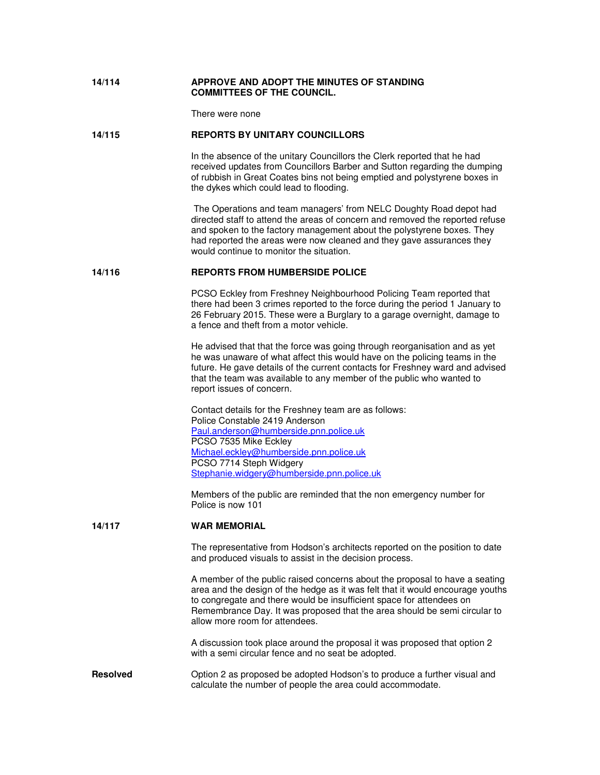## **14/114 APPROVE AND ADOPT THE MINUTES OF STANDING COMMITTEES OF THE COUNCIL.**

There were none

#### **14/115 REPORTS BY UNITARY COUNCILLORS**

In the absence of the unitary Councillors the Clerk reported that he had received updates from Councillors Barber and Sutton regarding the dumping of rubbish in Great Coates bins not being emptied and polystyrene boxes in the dykes which could lead to flooding.

 The Operations and team managers' from NELC Doughty Road depot had directed staff to attend the areas of concern and removed the reported refuse and spoken to the factory management about the polystyrene boxes. They had reported the areas were now cleaned and they gave assurances they would continue to monitor the situation.

#### **14/116 REPORTS FROM HUMBERSIDE POLICE**

PCSO Eckley from Freshney Neighbourhood Policing Team reported that there had been 3 crimes reported to the force during the period 1 January to 26 February 2015. These were a Burglary to a garage overnight, damage to a fence and theft from a motor vehicle.

He advised that that the force was going through reorganisation and as yet he was unaware of what affect this would have on the policing teams in the future. He gave details of the current contacts for Freshney ward and advised that the team was available to any member of the public who wanted to report issues of concern.

Contact details for the Freshney team are as follows: Police Constable 2419 Anderson Paul.anderson@humberside.pnn.police.uk PCSO 7535 Mike Eckley Michael.eckley@humberside.pnn.police.uk PCSO 7714 Steph Widgery Stephanie.widgery@humberside.pnn.police.uk

Members of the public are reminded that the non emergency number for Police is now 101

## **14/117 WAR MEMORIAL**

 The representative from Hodson's architects reported on the position to date and produced visuals to assist in the decision process.

A member of the public raised concerns about the proposal to have a seating area and the design of the hedge as it was felt that it would encourage youths to congregate and there would be insufficient space for attendees on Remembrance Day. It was proposed that the area should be semi circular to allow more room for attendees.

A discussion took place around the proposal it was proposed that option 2 with a semi circular fence and no seat be adopted.

**Resolved** Option 2 as proposed be adopted Hodson's to produce a further visual and calculate the number of people the area could accommodate.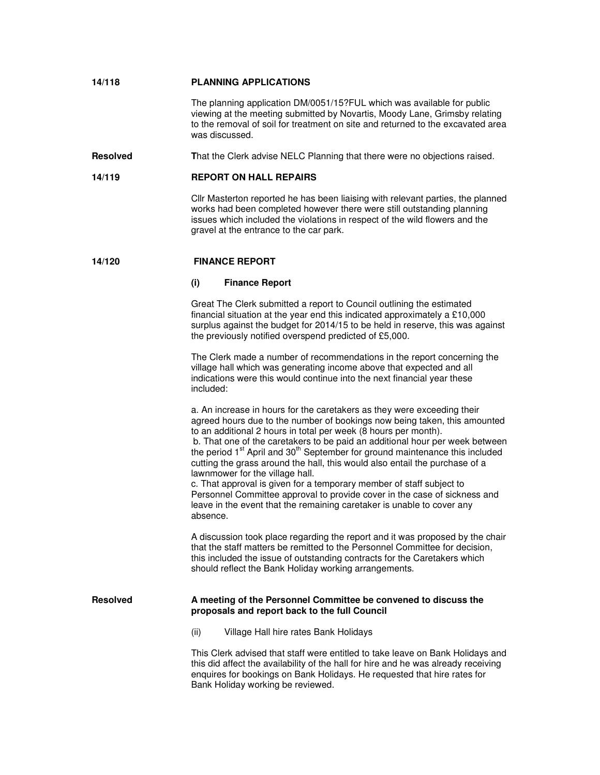## **14/118 PLANNING APPLICATIONS**

The planning application DM/0051/15?FUL which was available for public viewing at the meeting submitted by Novartis, Moody Lane, Grimsby relating to the removal of soil for treatment on site and returned to the excavated area was discussed.

**Resolved T**hat the Clerk advise NELC Planning that there were no objections raised.

# **14/119 REPORT ON HALL REPAIRS**

Cllr Masterton reported he has been liaising with relevant parties, the planned works had been completed however there were still outstanding planning issues which included the violations in respect of the wild flowers and the gravel at the entrance to the car park.

#### **14/120 FINANCE REPORT**

#### **(i) Finance Report**

Great The Clerk submitted a report to Council outlining the estimated financial situation at the year end this indicated approximately a £10,000 surplus against the budget for 2014/15 to be held in reserve, this was against the previously notified overspend predicted of £5,000.

The Clerk made a number of recommendations in the report concerning the village hall which was generating income above that expected and all indications were this would continue into the next financial year these included:

a. An increase in hours for the caretakers as they were exceeding their agreed hours due to the number of bookings now being taken, this amounted to an additional 2 hours in total per week (8 hours per month). b. That one of the caretakers to be paid an additional hour per week between

the period  $1<sup>st</sup>$  April and  $30<sup>th</sup>$  September for ground maintenance this included cutting the grass around the hall, this would also entail the purchase of a lawnmower for the village hall.

c. That approval is given for a temporary member of staff subject to Personnel Committee approval to provide cover in the case of sickness and leave in the event that the remaining caretaker is unable to cover any absence.

A discussion took place regarding the report and it was proposed by the chair that the staff matters be remitted to the Personnel Committee for decision, this included the issue of outstanding contracts for the Caretakers which should reflect the Bank Holiday working arrangements.

### **Resolved A meeting of the Personnel Committee be convened to discuss the proposals and report back to the full Council**

(ii) Village Hall hire rates Bank Holidays

This Clerk advised that staff were entitled to take leave on Bank Holidays and this did affect the availability of the hall for hire and he was already receiving enquires for bookings on Bank Holidays. He requested that hire rates for Bank Holiday working be reviewed.